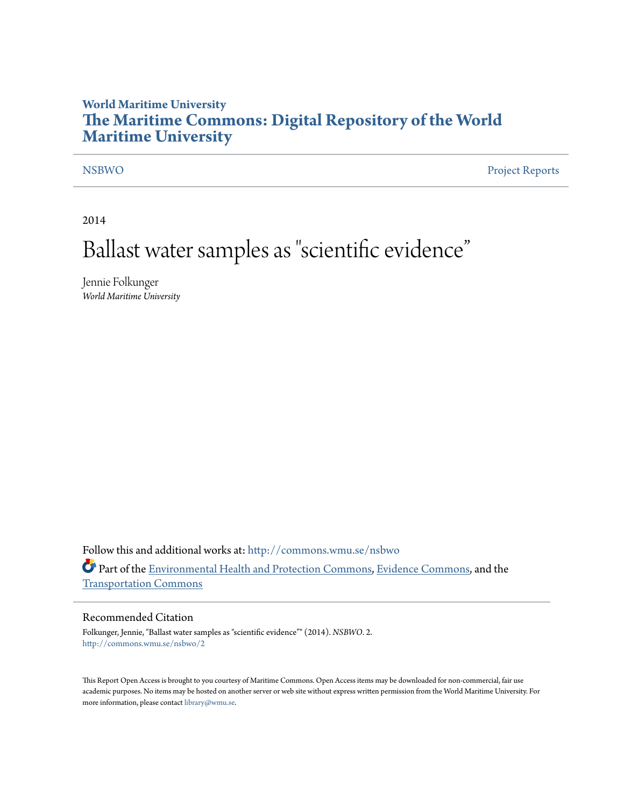# **World Maritime University [The Maritime Commons: Digital Repository of the World](http://commons.wmu.se?utm_source=commons.wmu.se%2Fnsbwo%2F2&utm_medium=PDF&utm_campaign=PDFCoverPages) [Maritime University](http://commons.wmu.se?utm_source=commons.wmu.se%2Fnsbwo%2F2&utm_medium=PDF&utm_campaign=PDFCoverPages)**

[NSBWO](http://commons.wmu.se/nsbwo?utm_source=commons.wmu.se%2Fnsbwo%2F2&utm_medium=PDF&utm_campaign=PDFCoverPages) [Project Reports](http://commons.wmu.se/mer_projects?utm_source=commons.wmu.se%2Fnsbwo%2F2&utm_medium=PDF&utm_campaign=PDFCoverPages)

2014

# Ballast water samples as "scientific evidence "

Jennie Folkunger *World Maritime University*

Follow this and additional works at: [http://commons.wmu.se/nsbwo](http://commons.wmu.se/nsbwo?utm_source=commons.wmu.se%2Fnsbwo%2F2&utm_medium=PDF&utm_campaign=PDFCoverPages) Part of the [Environmental Health and Protection Commons,](http://network.bepress.com/hgg/discipline/172?utm_source=commons.wmu.se%2Fnsbwo%2F2&utm_medium=PDF&utm_campaign=PDFCoverPages) [Evidence Commons](http://network.bepress.com/hgg/discipline/601?utm_source=commons.wmu.se%2Fnsbwo%2F2&utm_medium=PDF&utm_campaign=PDFCoverPages), and the [Transportation Commons](http://network.bepress.com/hgg/discipline/1068?utm_source=commons.wmu.se%2Fnsbwo%2F2&utm_medium=PDF&utm_campaign=PDFCoverPages)

#### Recommended Citation

Folkunger, Jennie, "Ballast water samples as "scientific evidence"" (2014). *NSBWO*. 2. [http://commons.wmu.se/nsbwo/2](http://commons.wmu.se/nsbwo/2?utm_source=commons.wmu.se%2Fnsbwo%2F2&utm_medium=PDF&utm_campaign=PDFCoverPages)

This Report Open Access is brought to you courtesy of Maritime Commons. Open Access items may be downloaded for non-commercial, fair use academic purposes. No items may be hosted on another server or web site without express written permission from the World Maritime University. For more information, please contact [library@wmu.se](mailto:library@wmu.edu).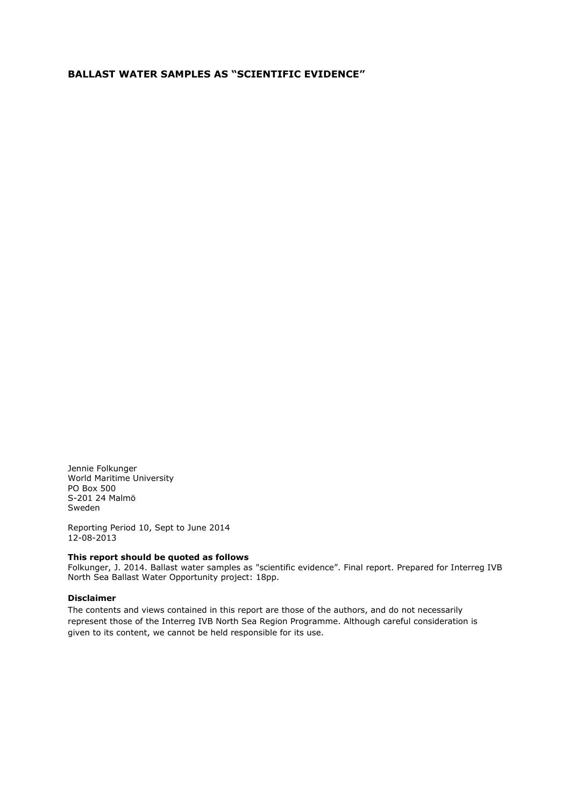### **BALLAST WATER SAMPLES AS "SCIENTIFIC EVIDENCE"**

Jennie Folkunger World Maritime University PO Box 500 S-201 24 Malmö Sweden

Reporting Period 10, Sept to June 2014 12-08-2013

#### **This report should be quoted as follows**

Folkunger, J. 2014. Ballast water samples as "scientific evidence". Final report. Prepared for Interreg IVB North Sea Ballast Water Opportunity project: 18pp.

#### **Disclaimer**

The contents and views contained in this report are those of the authors, and do not necessarily represent those of the Interreg IVB North Sea Region Programme. Although careful consideration is given to its content, we cannot be held responsible for its use.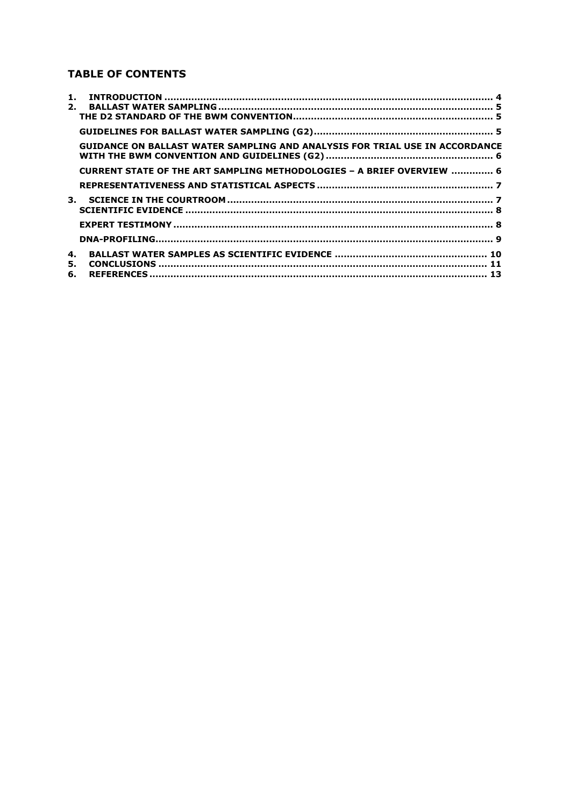# **TABLE OF CONTENTS**

| 1. |                                                                                    |  |
|----|------------------------------------------------------------------------------------|--|
| 2. |                                                                                    |  |
|    |                                                                                    |  |
|    |                                                                                    |  |
|    | <b>GUIDANCE ON BALLAST WATER SAMPLING AND ANALYSIS FOR TRIAL USE IN ACCORDANCE</b> |  |
|    | CURRENT STATE OF THE ART SAMPLING METHODOLOGIES - A BRIEF OVERVIEW  6              |  |
|    |                                                                                    |  |
|    |                                                                                    |  |
|    |                                                                                    |  |
|    |                                                                                    |  |
|    |                                                                                    |  |
| 4. |                                                                                    |  |
| 5. |                                                                                    |  |
| 6. |                                                                                    |  |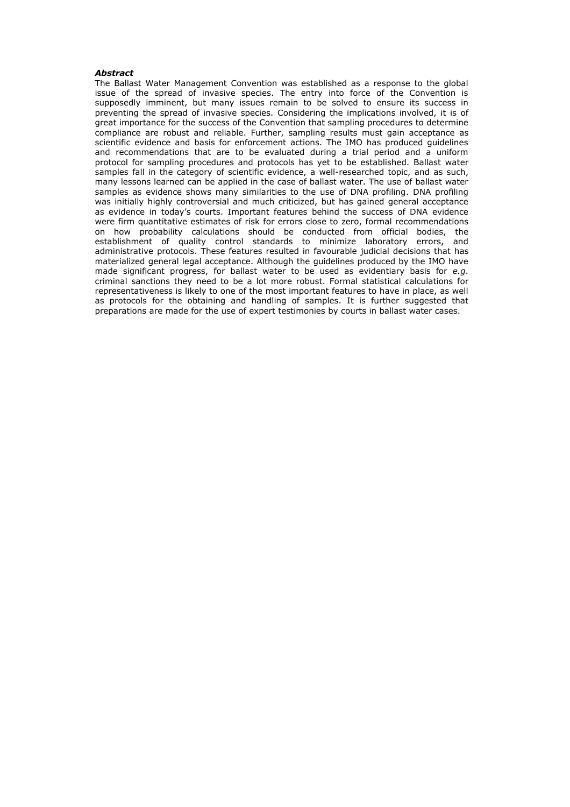#### *Abstract*

The Ballast Water Management Convention was established as a response to the global issue of the spread of invasive species. The entry into force of the Convention is supposedly imminent, but many issues remain to be solved to ensure its success in preventing the spread of invasive species. Considering the implications involved, it is of great importance for the success of the Convention that sampling procedures to determine compliance are robust and reliable. Further, sampling results must gain acceptance as scientific evidence and basis for enforcement actions. The IMO has produced guidelines and recommendations that are to be evaluated during a trial period and a uniform protocol for sampling procedures and protocols has yet to be established. Ballast water samples fall in the category of scientific evidence, a well-researched topic, and as such, many lessons learned can be applied in the case of ballast water. The use of ballast water samples as evidence shows many similarities to the use of DNA profiling. DNA profiling was initially highly controversial and much criticized, but has gained general acceptance as evidence in today's courts. Important features behind the success of DNA evidence were firm quantitative estimates of risk for errors close to zero, formal recommendations on how probability calculations should be conducted from official bodies, the establishment of quality control standards to minimize laboratory errors, and administrative protocols. These features resulted in favourable judicial decisions that has materialized general legal acceptance. Although the guidelines produced by the IMO have made significant progress, for ballast water to be used as evidentiary basis for *e.g*. criminal sanctions they need to be a lot more robust. Formal statistical calculations for representativeness is likely to one of the most important features to have in place, as well as protocols for the obtaining and handling of samples. It is further suggested that preparations are made for the use of expert testimonies by courts in ballast water cases.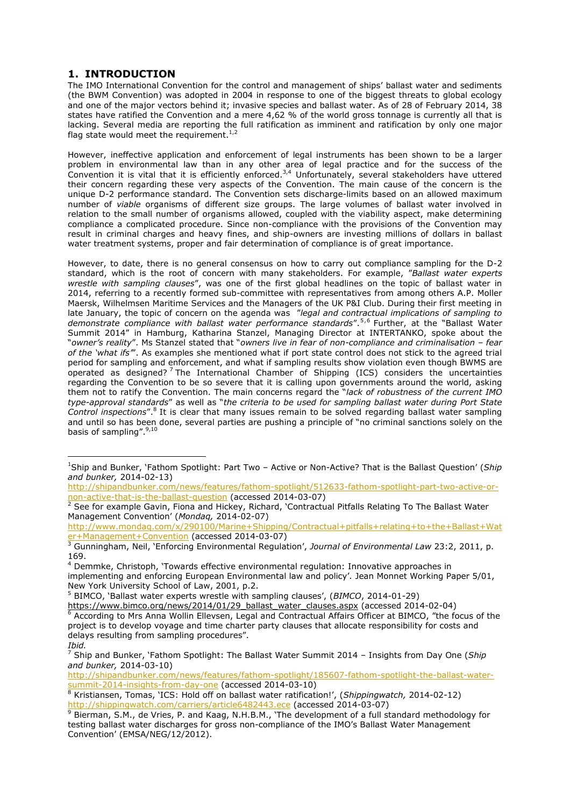## <span id="page-4-0"></span>**1. INTRODUCTION**

 $\overline{a}$ 

The IMO International Convention for the control and management of ships' ballast water and sediments (the BWM Convention) was adopted in 2004 in response to one of the biggest threats to global ecology and one of the major vectors behind it; invasive species and ballast water. As of 28 of February 2014, 38 states have ratified the Convention and a mere 4,62 % of the world gross tonnage is currently all that is lacking. Several media are reporting the full ratification as imminent and ratification by only one major flag state would meet the requirement.<sup>1,2</sup>

However, ineffective application and enforcement of legal instruments has been shown to be a larger problem in environmental law than in any other area of legal practice and for the success of the Convention it is vital that it is efficiently enforced.<sup>3,4</sup> Unfortunately, several stakeholders have uttered their concern regarding these very aspects of the Convention. The main cause of the concern is the unique D-2 performance standard. The Convention sets discharge-limits based on an allowed maximum number of *viable* organisms of different size groups. The large volumes of ballast water involved in relation to the small number of organisms allowed, coupled with the viability aspect, make determining compliance a complicated procedure. Since non-compliance with the provisions of the Convention may result in criminal charges and heavy fines, and ship-owners are investing millions of dollars in ballast water treatment systems, proper and fair determination of compliance is of great importance.

However, to date, there is no general consensus on how to carry out compliance sampling for the D-2 standard, which is the root of concern with many stakeholders. For example, "*Ballast water experts wrestle with sampling clauses*", was one of the first global headlines on the topic of ballast water in 2014, referring to a recently formed sub-committee with representatives from among others A.P. Moller Maersk, Wilhelmsen Maritime Services and the Managers of the UK P&I Club. During their first meeting in late January, the topic of concern on the agenda was "*legal and contractual implications of sampling to*  demonstrate compliance with ballast water performance standards".<sup>5,6</sup> Further, at the "Ballast Water Summit 2014" in Hamburg, Katharina Stanzel, Managing Director at INTERTANKO, spoke about the "*owner's reality*". Ms Stanzel stated that "*owners live in fear of non-compliance and criminalisation – fear of the 'what ifs'*". As examples she mentioned what if port state control does not stick to the agreed trial period for sampling and enforcement, and what if sampling results show violation even though BWMS are operated as designed?<sup>7</sup>The International Chamber of Shipping (ICS) considers the uncertainties regarding the Convention to be so severe that it is calling upon governments around the world, asking them not to ratify the Convention. The main concerns regard the "*lack of robustness of the current IMO type-approval standards*" as well as "*the criteria to be used for sampling ballast water during Port State*  Control inspections".<sup>8</sup> It is clear that many issues remain to be solved regarding ballast water sampling and until so has been done, several parties are pushing a principle of "no criminal sanctions solely on the basis of sampling".<sup>9,10</sup>

[http://www.mondaq.com/x/290100/Marine+Shipping/Contractual+pitfalls+relating+to+the+Ballast+Wat](http://www.mondaq.com/x/290100/Marine+Shipping/Contractual+pitfalls+relating+to+the+Ballast+Water+Management+Convention) [er+Management+Convention](http://www.mondaq.com/x/290100/Marine+Shipping/Contractual+pitfalls+relating+to+the+Ballast+Water+Management+Convention) (accessed 2014-03-07)

<sup>5</sup> BIMCO, 'Ballast water experts wrestle with sampling clauses', (*BIMCO*, 2014-01-29)

[http://shipandbunker.com/news/features/fathom-spotlight/185607-fathom-spotlight-the-ballast-water](http://shipandbunker.com/news/features/fathom-spotlight/185607-fathom-spotlight-the-ballast-water-summit-2014-insights-from-day-one)[summit-2014-insights-from-day-one](http://shipandbunker.com/news/features/fathom-spotlight/185607-fathom-spotlight-the-ballast-water-summit-2014-insights-from-day-one) (accessed 2014-03-10)

<sup>1</sup>Ship and Bunker, 'Fathom Spotlight: Part Two – Active or Non-Active? That is the Ballast Question' (*Ship and bunker,* 2014-02-13)

[http://shipandbunker.com/news/features/fathom-spotlight/512633-fathom-spotlight-part-two-active-or](http://shipandbunker.com/news/features/fathom-spotlight/512633-fathom-spotlight-part-two-active-or-non-active-that-is-the-ballast-question)[non-active-that-is-the-ballast-question](http://shipandbunker.com/news/features/fathom-spotlight/512633-fathom-spotlight-part-two-active-or-non-active-that-is-the-ballast-question) (accessed 2014-03-07)

<sup>&</sup>lt;sup>2</sup> See for example Gavin, Fiona and Hickey, Richard, `Contractual Pitfalls Relating To The Ballast Water Management Convention' (*Mondaq,* 2014-02-07)

<sup>3</sup> Gunningham, Neil, 'Enforcing Environmental Regulation', *Journal of Environmental Law* 23:2, 2011, p. 169.

<sup>4</sup> Demmke, Christoph, 'Towards effective environmental regulation: Innovative approaches in implementing and enforcing European Environmental law and policy'*.* Jean Monnet Working Paper 5/01, New York University School of Law, 2001, p.2.

[https://www.bimco.org/news/2014/01/29\\_ballast\\_water\\_clauses.aspx](https://www.bimco.org/news/2014/01/29_ballast_water_clauses.aspx) (accessed 2014-02-04) <sup>6</sup> According to Mrs Anna Wollin Ellevsen, Legal and Contractual Affairs Officer at BIMCO, "the focus of the project is to develop voyage and time charter party clauses that allocate responsibility for costs and delays resulting from sampling procedures". *Ibid.*

<sup>7</sup> Ship and Bunker, 'Fathom Spotlight: The Ballast Water Summit 2014 – Insights from Day One (*Ship and bunker,* 2014-03-10)

<sup>8</sup> Kristiansen, Tomas, 'ICS: Hold off on ballast water ratification!', (*Shippingwatch,* 2014-02-12) <http://shippingwatch.com/carriers/article6482443.ece> (accessed 2014-03-07)

<sup>9</sup> Bierman, S.M., de Vries, P. and Kaag, N.H.B.M., 'The development of a full standard methodology for testing ballast water discharges for gross non-compliance of the IMO's Ballast Water Management Convention' (EMSA/NEG/12/2012).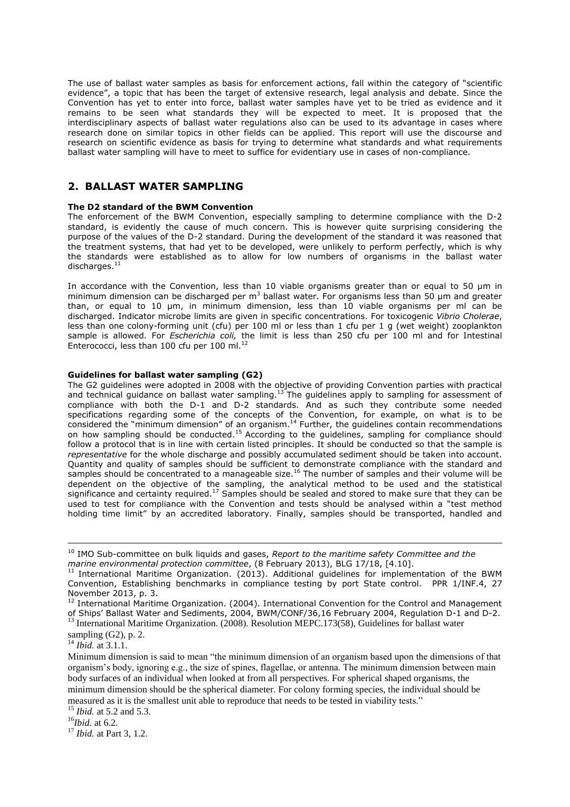The use of ballast water samples as basis for enforcement actions, fall within the category of "scientific evidence", a topic that has been the target of extensive research, legal analysis and debate. Since the Convention has yet to enter into force, ballast water samples have yet to be tried as evidence and it remains to be seen what standards they will be expected to meet. It is proposed that the interdisciplinary aspects of ballast water regulations also can be used to its advantage in cases where research done on similar topics in other fields can be applied. This report will use the discourse and research on scientific evidence as basis for trying to determine what standards and what requirements ballast water sampling will have to meet to suffice for evidentiary use in cases of non-compliance.

#### <span id="page-5-0"></span>**2. BALLAST WATER SAMPLING**

#### <span id="page-5-1"></span>**The D2 standard of the BWM Convention**

The enforcement of the BWM Convention, especially sampling to determine compliance with the D-2 standard, is evidently the cause of much concern. This is however quite surprising considering the purpose of the values of the D-2 standard. During the development of the standard it was reasoned that the treatment systems, that had yet to be developed, were unlikely to perform perfectly, which is why the standards were established as to allow for low numbers of organisms in the ballast water discharges. $^{11}$ 

In accordance with the Convention, less than 10 viable organisms greater than or equal to 50 µm in minimum dimension can be discharged per  $m<sup>3</sup>$  ballast water. For organisms less than 50 µm and greater than, or equal to 10 µm, in minimum dimension, less than 10 viable organisms per ml can be discharged. Indicator microbe limits are given in specific concentrations. For toxicogenic *Vibrio Cholerae*, less than one colony-forming unit (cfu) per 100 ml or less than 1 cfu per 1 g (wet weight) zooplankton sample is allowed. For *Escherichia coli,* the limit is less than 250 cfu per 100 ml and for Intestinal Enterococci, less than 100 cfu per 100 ml.<sup>12</sup>

#### <span id="page-5-2"></span>**Guidelines for ballast water sampling (G2)**

The G2 guidelines were adopted in 2008 with the objective of providing Convention parties with practical and technical guidance on ballast water sampling.<sup>13</sup> The guidelines apply to sampling for assessment of compliance with both the D-1 and D-2 standards. And as such they contribute some needed specifications regarding some of the concepts of the Convention, for example, on what is to be considered the "minimum dimension" of an organism.<sup>14</sup> Further, the guidelines contain recommendations on how sampling should be conducted.<sup>15</sup> According to the guidelines, sampling for compliance should follow a protocol that is in line with certain listed principles. It should be conducted so that the sample is *representative* for the whole discharge and possibly accumulated sediment should be taken into account. Quantity and quality of samples should be sufficient to demonstrate compliance with the standard and samples should be concentrated to a manageable size.<sup>16</sup> The number of samples and their volume will be dependent on the objective of the sampling, the analytical method to be used and the statistical significance and certainty required.<sup>17</sup> Samples should be sealed and stored to make sure that they can be used to test for compliance with the Convention and tests should be analysed within a "test method holding time limit" by an accredited laboratory. Finally, samples should be transported, handled and

<sup>14</sup> *Ibid.* at 3.1.1.

-

<sup>10</sup> IMO Sub-committee on bulk liquids and gases, *Report to the maritime safety Committee and the marine environmental protection committee*, (8 February 2013), BLG 17/18, [4.10].

 $11$  International Maritime Organization. (2013). Additional guidelines for implementation of the BWM Convention, Establishing benchmarks in compliance testing by port State control. PPR 1/INF.4, 27 November 2013, p. 3.

<sup>&</sup>lt;sup>12</sup> International Maritime Organization. (2004). International Convention for the Control and Management of Ships' Ballast Water and Sediments, 2004, BWM/CONF/36,16 February 2004, Regulation D-1 and D-2. <sup>13</sup> International Maritime Organization. (2008). Resolution MEPC.173(58), Guidelines for ballast water

sampling (G2), p. 2.

Minimum dimension is said to mean "the minimum dimension of an organism based upon the dimensions of that organism's body, ignoring e.g., the size of spines, flagellae, or antenna. The minimum dimension between main body surfaces of an individual when looked at from all perspectives. For spherical shaped organisms, the minimum dimension should be the spherical diameter. For colony forming species, the individual should be measured as it is the smallest unit able to reproduce that needs to be tested in viability tests."

<sup>15</sup> *Ibid.* at 5.2 and 5.3.

<sup>16</sup>*Ibid.* at 6.2.

<sup>17</sup> *Ibid.* at Part 3, 1.2.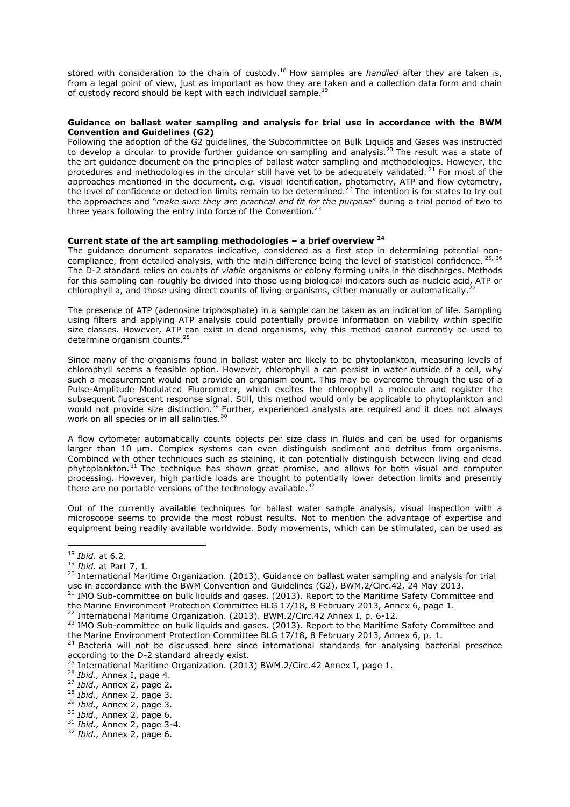stored with consideration to the chain of custody.<sup>18</sup> How samples are *handled* after they are taken is, from a legal point of view, just as important as how they are taken and a collection data form and chain of custody record should be kept with each individual sample.<sup>1</sup>

#### <span id="page-6-0"></span>**Guidance on ballast water sampling and analysis for trial use in accordance with the BWM Convention and Guidelines (G2)**

Following the adoption of the G2 guidelines, the Subcommittee on Bulk Liquids and Gases was instructed to develop a circular to provide further guidance on sampling and analysis.<sup>20</sup> The result was a state of the art guidance document on the principles of ballast water sampling and methodologies. However, the procedures and methodologies in the circular still have yet to be adequately validated.<sup>21</sup> For most of the approaches mentioned in the document, *e.g.* visual identification, photometry, ATP and flow cytometry, the level of confidence or detection limits remain to be determined.<sup>22</sup> The intention is for states to try out the approaches and "*make sure they are practical and fit for the purpose*" during a trial period of two to three years following the entry into force of the Convention. $^{23}$ 

#### <span id="page-6-1"></span>**Current state of the art sampling methodologies – a brief overview <sup>24</sup>**

The guidance document separates indicative, considered as a first step in determining potential noncompliance, from detailed analysis, with the main difference being the level of statistical confidence. <sup>25, 26</sup> The D-2 standard relies on counts of *viable* organisms or colony forming units in the discharges. Methods for this sampling can roughly be divided into those using biological indicators such as nucleic acid, ATP or chlorophyll a, and those using direct counts of living organisms, either manually or automatically.

The presence of ATP (adenosine triphosphate) in a sample can be taken as an indication of life. Sampling using filters and applying ATP analysis could potentially provide information on viability within specific size classes. However, ATP can exist in dead organisms, why this method cannot currently be used to determine organism counts.<sup>28</sup>

Since many of the organisms found in ballast water are likely to be phytoplankton, measuring levels of chlorophyll seems a feasible option. However, chlorophyll a can persist in water outside of a cell, why such a measurement would not provide an organism count. This may be overcome through the use of a Pulse-Amplitude Modulated Fluorometer, which excites the chlorophyll a molecule and register the subsequent fluorescent response signal. Still, this method would only be applicable to phytoplankton and would not provide size distinction.<sup>29</sup> Further, experienced analysts are required and it does not always work on all species or in all salinities.<sup>30</sup>

A flow cytometer automatically counts objects per size class in fluids and can be used for organisms larger than 10 µm. Complex systems can even distinguish sediment and detritus from organisms. Combined with other techniques such as staining, it can potentially distinguish between living and dead phytoplankton.<sup>31</sup> The technique has shown great promise, and allows for both visual and computer processing. However, high particle loads are thought to potentially lower detection limits and presently there are no portable versions of the technology available. $32$ 

Out of the currently available techniques for ballast water sample analysis, visual inspection with a microscope seems to provide the most robust results. Not to mention the advantage of expertise and equipment being readily available worldwide. Body movements, which can be stimulated, can be used as

<sup>18</sup> *Ibid.* at 6.2.

<sup>19</sup> *Ibid.* at Part 7, 1.

<sup>&</sup>lt;sup>20</sup> International Maritime Organization. (2013). Guidance on ballast water sampling and analysis for trial use in accordance with the BWM Convention and Guidelines (G2), BWM.2/Circ.42, 24 May 2013.

 $21$  IMO Sub-committee on bulk liquids and gases. (2013). Report to the Maritime Safety Committee and the Marine Environment Protection Committee BLG 17/18, 8 February 2013, Annex 6, page 1.

<sup>&</sup>lt;sup>22</sup> International Maritime Organization. (2013). BWM.2/Circ.42 Annex I, p. 6-12.

<sup>&</sup>lt;sup>23</sup> IMO Sub-committee on bulk liquids and gases. (2013). Report to the Maritime Safety Committee and the Marine Environment Protection Committee BLG 17/18, 8 February 2013, Annex 6, p. 1.

<sup>&</sup>lt;sup>24</sup> Bacteria will not be discussed here since international standards for analysing bacterial presence according to the D-2 standard already exist.

<sup>&</sup>lt;sup>25</sup> International Maritime Organization. (2013) BWM.2/Circ.42 Annex I, page 1.

<sup>26</sup> *Ibid.,* Annex I, page 4.

<sup>27</sup> *Ibid.,* Annex 2, page 2.

<sup>28</sup> *Ibid.,* Annex 2, page 3.

<sup>29</sup> *Ibid.,* Annex 2, page 3.

<sup>30</sup> *Ibid.,* Annex 2, page 6.

<sup>31</sup> *Ibid.,* Annex 2, page 3-4.

<sup>32</sup> *Ibid.,* Annex 2, page 6.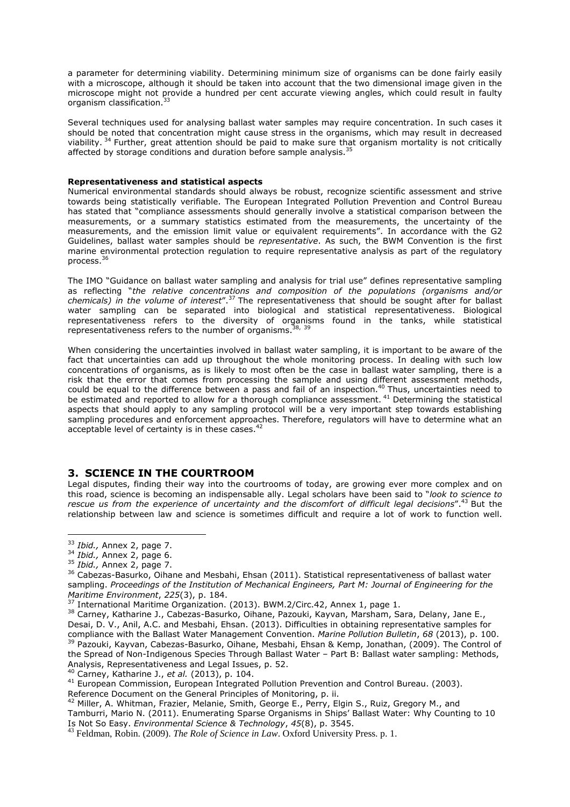a parameter for determining viability. Determining minimum size of organisms can be done fairly easily with a microscope, although it should be taken into account that the two dimensional image given in the microscope might not provide a hundred per cent accurate viewing angles, which could result in faulty organism classification. 33

Several techniques used for analysing ballast water samples may require concentration. In such cases it should be noted that concentration might cause stress in the organisms, which may result in decreased viability.<sup>34</sup> Further, great attention should be paid to make sure that organism mortality is not critically affected by storage conditions and duration before sample analysis.<sup>35</sup>

#### <span id="page-7-0"></span>**Representativeness and statistical aspects**

Numerical environmental standards should always be robust, recognize scientific assessment and strive towards being statistically verifiable. The European Integrated Pollution Prevention and Control Bureau has stated that "compliance assessments should generally involve a statistical comparison between the measurements, or a summary statistics estimated from the measurements, the uncertainty of the measurements, and the emission limit value or equivalent requirements". In accordance with the G2 Guidelines, ballast water samples should be *representative*. As such, the BWM Convention is the first marine environmental protection regulation to require representative analysis as part of the regulatory process.<sup>36</sup>

The IMO "Guidance on ballast water sampling and analysis for trial use" defines representative sampling as reflecting "*the relative concentrations and composition of the populations (organisms and/or chemicals) in the volume of interest*".<sup>37</sup> The representativeness that should be sought after for ballast water sampling can be separated into biological and statistical representativeness. Biological representativeness refers to the diversity of organisms found in the tanks, while statistical representativeness refers to the number of organisms.<sup>38, 39</sup>

When considering the uncertainties involved in ballast water sampling, it is important to be aware of the fact that uncertainties can add up throughout the whole monitoring process. In dealing with such low concentrations of organisms, as is likely to most often be the case in ballast water sampling, there is a risk that the error that comes from processing the sample and using different assessment methods, could be equal to the difference between a pass and fail of an inspection.<sup>40</sup> Thus, uncertainties need to be estimated and reported to allow for a thorough compliance assessment.<sup>41</sup> Determining the statistical aspects that should apply to any sampling protocol will be a very important step towards establishing sampling procedures and enforcement approaches. Therefore, regulators will have to determine what an acceptable level of certainty is in these cases.<sup>42</sup>

#### <span id="page-7-1"></span>**3. SCIENCE IN THE COURTROOM**

Legal disputes, finding their way into the courtrooms of today, are growing ever more complex and on this road, science is becoming an indispensable ally. Legal scholars have been said to "*look to science to rescue us from the experience of uncertainty and the discomfort of difficult legal decisions*".<sup>43</sup> But the relationship between law and science is sometimes difficult and require a lot of work to function well.

 $\overline{a}$ <sup>33</sup> *Ibid.,* Annex 2, page 7.

<sup>34</sup> *Ibid.,* Annex 2, page 6.

<sup>35</sup> *Ibid.,* Annex 2, page 7.

<sup>&</sup>lt;sup>36</sup> Cabezas-Basurko, Oihane and Mesbahi, Ehsan (2011). Statistical representativeness of ballast water sampling. *Proceedings of the Institution of Mechanical Engineers, Part M: Journal of Engineering for the Maritime Environment*, *225*(3), p. 184.

<sup>&</sup>lt;sup>37</sup> International Maritime Organization. (2013). BWM.2/Circ.42, Annex 1, page 1.

<sup>&</sup>lt;sup>38</sup> Carney, Katharine J., Cabezas-Basurko, Oihane, Pazouki, Kayvan, Marsham, Sara, Delany, Jane E., Desai, D. V., Anil, A.C. and Mesbahi, Ehsan. (2013). Difficulties in obtaining representative samples for compliance with the Ballast Water Management Convention. *Marine Pollution Bulletin*, *68* (2013), p. 100. <sup>39</sup> Pazouki, Kayvan, Cabezas-Basurko, Oihane, Mesbahi, Ehsan & Kemp, Jonathan, (2009). The Control of the Spread of Non-Indigenous Species Through Ballast Water – Part B: Ballast water sampling: Methods, Analysis, Representativeness and Legal Issues, p. 52.

<sup>40</sup> Carney, Katharine J., *et al.* (2013), p. 104.

<sup>&</sup>lt;sup>41</sup> European Commission, European Integrated Pollution Prevention and Control Bureau. (2003).

Reference Document on the General Principles of Monitoring, p. ii.

 $^{42}$  Miller, A. Whitman, Frazier, Melanie, Smith, George E., Perry, Elgin S., Ruiz, Gregory M., and

Tamburri, Mario N. (2011). Enumerating Sparse Organisms in Ships' Ballast Water: Why Counting to 10 Is Not So Easy. *Environmental Science & Technology*, *45*(8), p. 3545.

<sup>43</sup> Feldman, Robin. (2009). *The Role of Science in Law*. Oxford University Press. p. 1.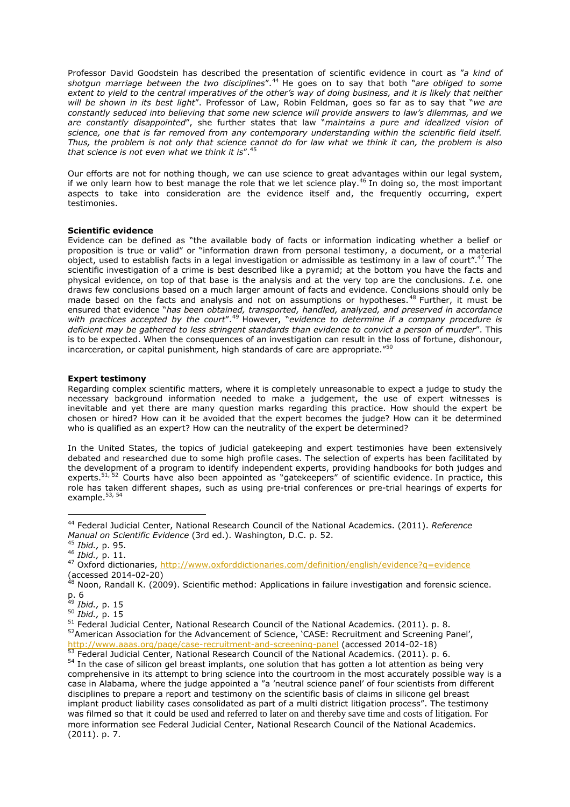Professor David Goodstein has described the presentation of scientific evidence in court as "*a kind of shotgun marriage between the two disciplines*".<sup>44</sup> He goes on to say that both "*are obliged to some* extent to yield to the central imperatives of the other's way of doing business, and it is likely that neither *will be shown in its best light*". Professor of Law, Robin Feldman, goes so far as to say that "*we are constantly seduced into believing that some new science will provide answers to law's dilemmas, and we are constantly disappointed*", she further states that law "*maintains a pure and idealized vision of science, one that is far removed from any contemporary understanding within the scientific field itself.* Thus, the problem is not only that science cannot do for law what we think it can, the problem is also *that science is not even what we think it is*".<sup>45</sup>

Our efforts are not for nothing though, we can use science to great advantages within our legal system, if we only learn how to best manage the role that we let science play.<sup>46</sup> In doing so, the most important aspects to take into consideration are the evidence itself and, the frequently occurring, expert testimonies.

#### <span id="page-8-0"></span>**Scientific evidence**

Evidence can be defined as "the available body of facts or information indicating whether a belief or proposition is true or valid" or "information drawn from personal testimony, a document, or a material object, used to establish facts in a legal investigation or admissible as testimony in a law of court".<sup>47</sup> The scientific investigation of a crime is best described like a pyramid; at the bottom you have the facts and physical evidence, on top of that base is the analysis and at the very top are the conclusions. *I.e.* one draws few conclusions based on a much larger amount of facts and evidence. Conclusions should only be made based on the facts and analysis and not on assumptions or hypotheses.<sup>48</sup> Further, it must be ensured that evidence "*has been obtained, transported, handled, analyzed, and preserved in accordance with practices accepted by the court*".<sup>49</sup> However, "*evidence to determine if a company procedure is deficient may be gathered to less stringent standards than evidence to convict a person of murder*". This is to be expected. When the consequences of an investigation can result in the loss of fortune, dishonour, incarceration, or capital punishment, high standards of care are appropriate."<sup>5</sup>

#### <span id="page-8-1"></span>**Expert testimony**

Regarding complex scientific matters, where it is completely unreasonable to expect a judge to study the necessary background information needed to make a judgement, the use of expert witnesses is inevitable and yet there are many question marks regarding this practice. How should the expert be chosen or hired? How can it be avoided that the expert becomes the judge? How can it be determined who is qualified as an expert? How can the neutrality of the expert be determined?

In the United States, the topics of judicial gatekeeping and expert testimonies have been extensively debated and researched due to some high profile cases. The selection of experts has been facilitated by the development of a program to identify independent experts, providing handbooks for both judges and experts.<sup>51, 52</sup> Courts have also been appointed as "gatekeepers" of scientific evidence. In practice, this role has taken different shapes, such as using pre-trial conferences or pre-trial hearings of experts for example.<sup>53, 54</sup>

<sup>44</sup> Federal Judicial Center, National Research Council of the National Academics. (2011). *Reference Manual on Scientific Evidence* (3rd ed.). Washington, D.C. p. 52.

<sup>45</sup> *Ibid.,* p. 95.

<sup>46</sup> *Ibid.,* p. 11.

<sup>47</sup> Oxford dictionaries,<http://www.oxforddictionaries.com/definition/english/evidence?q=evidence> (accessed 2014-02-20)

 $^{48}$  Noon, Randall K. (2009). Scientific method: Applications in failure investigation and forensic science. p. 6

<sup>49</sup> *Ibid.,* p. 15

<sup>50</sup> *Ibid.,* p. 15

<sup>&</sup>lt;sup>51</sup> Federal Judicial Center, National Research Council of the National Academics. (2011). p. 8. 52 American Association for the Advancement of Science, 'CASE: Recruitment and Screening Panel', <http://www.aaas.org/page/case-recruitment-and-screening-panel> (accessed 2014-02-18)

Franch Multiprovince School Center, National Research Council of the National Academics. (2011). p. 6. <sup>54</sup> In the case of silicon gel breast implants, one solution that has gotten a lot attention as being very comprehensive in its attempt to bring science into the courtroom in the most accurately possible way is a case in Alabama, where the judge appointed a "a 'neutral science panel' of four scientists from different disciplines to prepare a report and testimony on the scientific basis of claims in silicone gel breast implant product liability cases consolidated as part of a multi district litigation process". The testimony was filmed so that it could be used and referred to later on and thereby save time and costs of litigation. For more information see Federal Judicial Center, National Research Council of the National Academics. (2011). p. 7.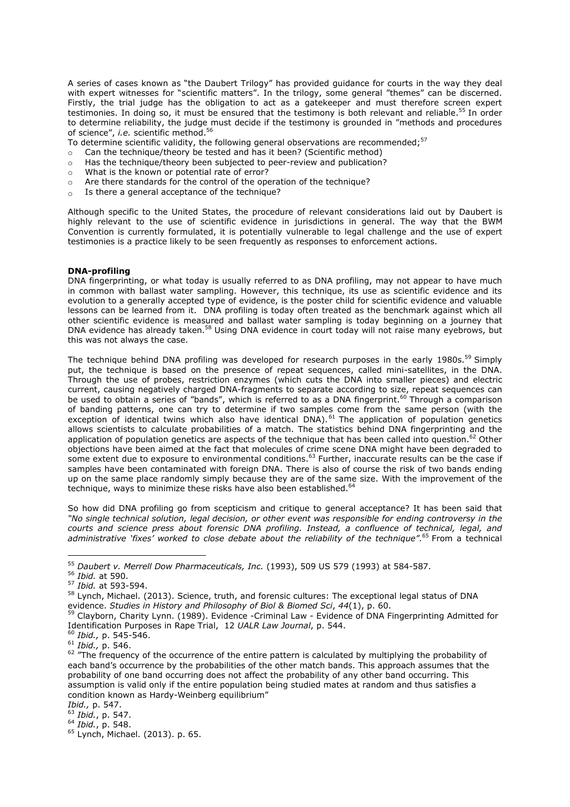A series of cases known as "the Daubert Trilogy" has provided guidance for courts in the way they deal with expert witnesses for "scientific matters". In the trilogy, some general "themes" can be discerned. Firstly, the trial judge has the obligation to act as a gatekeeper and must therefore screen expert testimonies. In doing so, it must be ensured that the testimony is both relevant and reliable.<sup>55</sup> In order to determine reliability, the judge must decide if the testimony is grounded in "methods and procedures of science", *i.e.* scientific method.<sup>56</sup>

To determine scientific validity, the following general observations are recommended; $57$ 

- o Can the technique/theory be tested and has it been? (Scientific method)
- o Has the technique/theory been subjected to peer-review and publication?
- o What is the known or potential rate of error?
- o Are there standards for the control of the operation of the technique?
- $\circ$  Is there a general acceptance of the technique?

Although specific to the United States, the procedure of relevant considerations laid out by Daubert is highly relevant to the use of scientific evidence in jurisdictions in general. The way that the BWM Convention is currently formulated, it is potentially vulnerable to legal challenge and the use of expert testimonies is a practice likely to be seen frequently as responses to enforcement actions.

#### <span id="page-9-0"></span>**DNA-profiling**

DNA fingerprinting, or what today is usually referred to as DNA profiling, may not appear to have much in common with ballast water sampling. However, this technique, its use as scientific evidence and its evolution to a generally accepted type of evidence, is the poster child for scientific evidence and valuable lessons can be learned from it. DNA profiling is today often treated as the benchmark against which all other scientific evidence is measured and ballast water sampling is today beginning on a journey that DNA evidence has already taken.<sup>58</sup> Using DNA evidence in court today will not raise many evebrows, but this was not always the case.

The technique behind DNA profiling was developed for research purposes in the early 1980s.<sup>59</sup> Simply put, the technique is based on the presence of repeat sequences, called mini-satellites, in the DNA. Through the use of probes, restriction enzymes (which cuts the DNA into smaller pieces) and electric current, causing negatively charged DNA-fragments to separate according to size, repeat sequences can be used to obtain a series of "bands", which is referred to as a DNA fingerprint.<sup>60</sup> Through a comparison of banding patterns, one can try to determine if two samples come from the same person (with the exception of identical twins which also have identical DNA).<sup>61</sup> The application of population genetics allows scientists to calculate probabilities of a match. The statistics behind DNA fingerprinting and the application of population genetics are aspects of the technique that has been called into question.<sup>62</sup> Other objections have been aimed at the fact that molecules of crime scene DNA might have been degraded to some extent due to exposure to environmental conditions.<sup>63</sup> Further, inaccurate results can be the case if samples have been contaminated with foreign DNA. There is also of course the risk of two bands ending up on the same place randomly simply because they are of the same size. With the improvement of the technique, ways to minimize these risks have also been established.<sup>64</sup>

So how did DNA profiling go from scepticism and critique to general acceptance? It has been said that *"No single technical solution, legal decision, or other event was responsible for ending controversy in the courts and science press about forensic DNA profiling. Instead, a confluence of technical, legal, and administrative 'fixes' worked to close debate about the reliability of the technique".* <sup>65</sup> From a technical

<sup>55</sup> *Daubert v. Merrell Dow Pharmaceuticals, Inc.* (1993), 509 US 579 (1993) at 584-587.

<sup>56</sup> *Ibid.* at 590.

<sup>57</sup> *Ibid.* at 593-594.

<sup>58</sup> Lynch, Michael. (2013). Science, truth, and forensic cultures: The exceptional legal status of DNA evidence. *Studies in History and Philosophy of Biol & Biomed Sci*, *44*(1), p. 60.

<sup>59</sup> Clayborn, Charity Lynn. (1989). Evidence -Criminal Law - Evidence of DNA Fingerprinting Admitted for Identification Purposes in Rape Trial, 12 *UALR Law Journal*, p. 544.

<sup>60</sup> *Ibid.,* p. 545-546.

<sup>61</sup> *Ibid.,* p. 546.

<sup>&</sup>lt;sup>62</sup> "The frequency of the occurrence of the entire pattern is calculated by multiplying the probability of each band's occurrence by the probabilities of the other match bands. This approach assumes that the probability of one band occurring does not affect the probability of any other band occurring. This assumption is valid only if the entire population being studied mates at random and thus satisfies a condition known as Hardy-Weinberg equilibrium"

*Ibid.,* p. 547.

<sup>63</sup> *Ibid.*, p. 547.

<sup>64</sup> *Ibid.*, p. 548.

<sup>65</sup> Lynch, Michael. (2013). p. 65.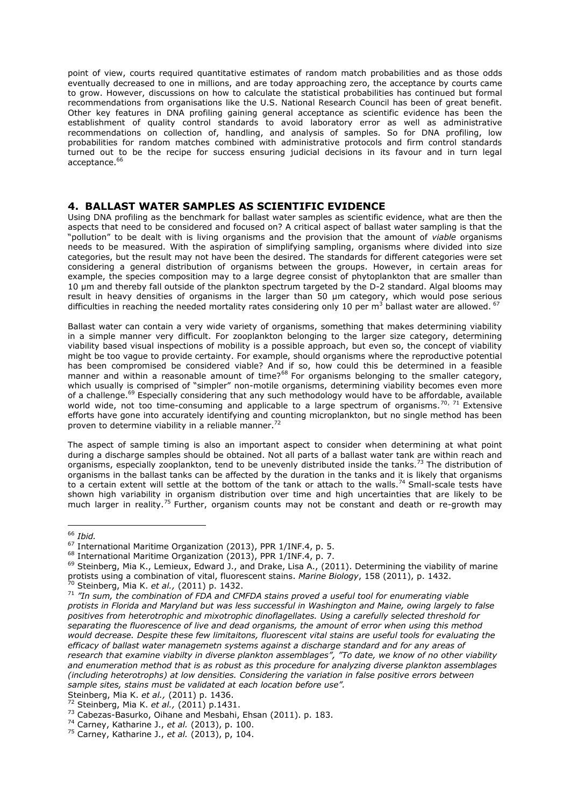point of view, courts required quantitative estimates of random match probabilities and as those odds eventually decreased to one in millions, and are today approaching zero, the acceptance by courts came to grow. However, discussions on how to calculate the statistical probabilities has continued but formal recommendations from organisations like the U.S. National Research Council has been of great benefit. Other key features in DNA profiling gaining general acceptance as scientific evidence has been the establishment of quality control standards to avoid laboratory error as well as administrative recommendations on collection of, handling, and analysis of samples. So for DNA profiling, low probabilities for random matches combined with administrative protocols and firm control standards turned out to be the recipe for success ensuring judicial decisions in its favour and in turn legal acceptance.<sup>66</sup>

#### <span id="page-10-0"></span>**4. BALLAST WATER SAMPLES AS SCIENTIFIC EVIDENCE**

Using DNA profiling as the benchmark for ballast water samples as scientific evidence, what are then the aspects that need to be considered and focused on? A critical aspect of ballast water sampling is that the "pollution" to be dealt with is living organisms and the provision that the amount of *viable* organisms needs to be measured. With the aspiration of simplifying sampling, organisms where divided into size categories, but the result may not have been the desired. The standards for different categories were set considering a general distribution of organisms between the groups. However, in certain areas for example, the species composition may to a large degree consist of phytoplankton that are smaller than 10 µm and thereby fall outside of the plankton spectrum targeted by the D-2 standard. Algal blooms may result in heavy densities of organisms in the larger than 50 µm category, which would pose serious difficulties in reaching the needed mortality rates considering only 10 per m<sup>3</sup> ballast water are allowed. <sup>67</sup>

Ballast water can contain a very wide variety of organisms, something that makes determining viability in a simple manner very difficult. For zooplankton belonging to the larger size category, determining viability based visual inspections of mobility is a possible approach, but even so, the concept of viability might be too vague to provide certainty. For example, should organisms where the reproductive potential has been compromised be considered viable? And if so, how could this be determined in a feasible manner and within a reasonable amount of time?<sup>68</sup> For organisms belonging to the smaller category, which usually is comprised of "simpler" non-motile organisms, determining viability becomes even more of a challenge.<sup>69</sup> Especially considering that any such methodology would have to be affordable, available world wide, not too time-consuming and applicable to a large spectrum of organisms.<sup>70, 71</sup> Extensive efforts have gone into accurately identifying and counting microplankton, but no single method has been proven to determine viability in a reliable manner.<sup>77</sup>

The aspect of sample timing is also an important aspect to consider when determining at what point during a discharge samples should be obtained. Not all parts of a ballast water tank are within reach and organisms, especially zooplankton, tend to be unevenly distributed inside the tanks.<sup>73</sup> The distribution of organisms in the ballast tanks can be affected by the duration in the tanks and it is likely that organisms to a certain extent will settle at the bottom of the tank or attach to the walls.<sup>74</sup> Small-scale tests have shown high variability in organism distribution over time and high uncertainties that are likely to be much larger in reality.<sup>75</sup> Further, organism counts may not be constant and death or re-growth may

 $\overline{a}$ 

Steinberg, Mia K. *et al.,* (2011) p. 1436.

<sup>66</sup> *Ibid.*

<sup>67</sup> International Maritime Organization (2013), PPR 1/INF.4, p. 5.

<sup>68</sup> International Maritime Organization (2013), PPR 1/INF.4, p. 7.

 $^{69}$  Steinberg, Mia K., Lemieux, Edward J., and Drake, Lisa A., (2011). Determining the viability of marine protists using a combination of vital, fluorescent stains. *Marine Biology*, 158 (2011), p. 1432.

<sup>70</sup> Steinberg, Mia K. *et al.,* (2011) p. 1432.

<sup>71</sup> *"In sum, the combination of FDA and CMFDA stains proved a useful tool for enumerating viable protists in Florida and Maryland but was less successful in Washington and Maine, owing largely to false positives from heterotrophic and mixotrophic dinoflagellates. Using a carefully selected threshold for separating the fluorescence of live and dead organisms, the amount of error when using this method would decrease. Despite these few limitaitons, fluorescent vital stains are useful tools for evaluating the efficacy of ballast water managemetn systems against a discharge standard and for any areas of research that examine viabilty in diverse plankton assemblages", "To date, we know of no other viability and enumeration method that is as robust as this procedure for analyzing diverse plankton assemblages (including heterotrophs) at low densities. Considering the variation in false positive errors between sample sites, stains must be validated at each location before use".*

<sup>72</sup> Steinberg, Mia K. *et al.,* (2011) p.1431.

<sup>73</sup> Cabezas-Basurko, Oihane and Mesbahi, Ehsan (2011). p. 183.

<sup>74</sup> Carney, Katharine J., *et al.* (2013), p. 100.

<sup>75</sup> Carney, Katharine J., *et al.* (2013), p, 104.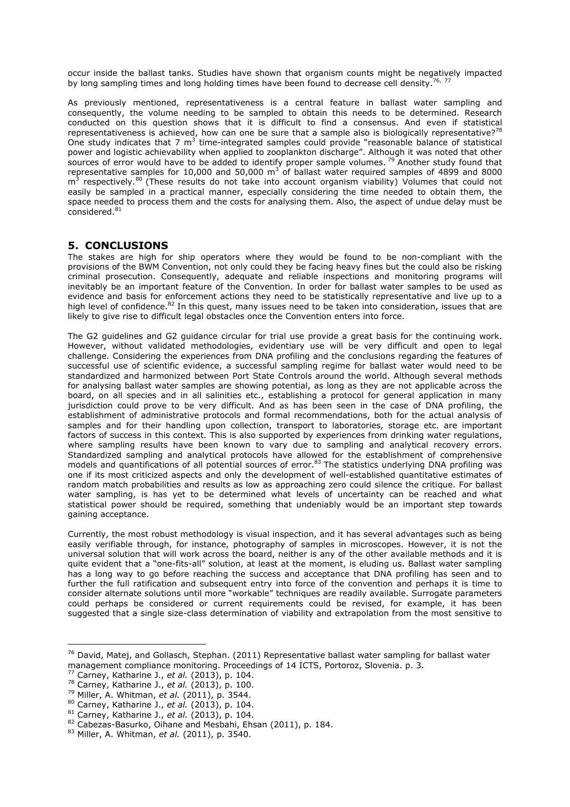occur inside the ballast tanks. Studies have shown that organism counts might be negatively impacted by long sampling times and long holding times have been found to decrease cell density.<sup>76, 7</sup>

As previously mentioned, representativeness is a central feature in ballast water sampling and consequently, the volume needing to be sampled to obtain this needs to be determined. Research conducted on this question shows that it is difficult to find a consensus. And even if statistical representativeness is achieved, how can one be sure that a sample also is biologically representative?<sup>78</sup> One study indicates that 7  $m<sup>3</sup>$  time-integrated samples could provide "reasonable balance of statistical power and logistic achievability when applied to zooplankton discharge". Although it was noted that other sources of error would have to be added to identify proper sample volumes.<sup>79</sup> Another study found that representative samples for 10,000 and 50,000  $\text{m}^3$  of ballast water required samples of 4899 and 8000  $\text{m}^3$  respectively.<sup>80</sup> (These results do not take into account organism viability) Volumes that could not easily be sampled in a practical manner, especially considering the time needed to obtain them, the space needed to process them and the costs for analysing them. Also, the aspect of undue delay must be considered.<sup>81</sup>

#### <span id="page-11-0"></span>**5. CONCLUSIONS**

The stakes are high for ship operators where they would be found to be non-compliant with the provisions of the BWM Convention, not only could they be facing heavy fines but the could also be risking criminal prosecution. Consequently, adequate and reliable inspections and monitoring programs will inevitably be an important feature of the Convention. In order for ballast water samples to be used as evidence and basis for enforcement actions they need to be statistically representative and live up to a high level of confidence.<sup>82</sup> In this quest, many issues need to be taken into consideration, issues that are likely to give rise to difficult legal obstacles once the Convention enters into force.

The G2 guidelines and G2 guidance circular for trial use provide a great basis for the continuing work. However, without validated methodologies, evidentiary use will be very difficult and open to legal challenge. Considering the experiences from DNA profiling and the conclusions regarding the features of successful use of scientific evidence, a successful sampling regime for ballast water would need to be standardized and harmonized between Port State Controls around the world. Although several methods for analysing ballast water samples are showing potential, as long as they are not applicable across the board, on all species and in all salinities etc., establishing a protocol for general application in many jurisdiction could prove to be very difficult. And as has been seen in the case of DNA profiling, the establishment of administrative protocols and formal recommendations, both for the actual analysis of samples and for their handling upon collection, transport to laboratories, storage etc. are important factors of success in this context. This is also supported by experiences from drinking water regulations, where sampling results have been known to vary due to sampling and analytical recovery errors. Standardized sampling and analytical protocols have allowed for the establishment of comprehensive models and quantifications of all potential sources of error.<sup>83</sup> The statistics underlying DNA profiling was one if its most criticized aspects and only the development of well-established quantitative estimates of random match probabilities and results as low as approaching zero could silence the critique. For ballast water sampling, is has yet to be determined what levels of uncertainty can be reached and what statistical power should be required, something that undeniably would be an important step towards gaining acceptance.

Currently, the most robust methodology is visual inspection, and it has several advantages such as being easily verifiable through, for instance, photography of samples in microscopes. However, it is not the universal solution that will work across the board, neither is any of the other available methods and it is quite evident that a "one-fits-all" solution, at least at the moment, is eluding us. Ballast water sampling has a long way to go before reaching the success and acceptance that DNA profiling has seen and to further the full ratification and subsequent entry into force of the convention and perhaps it is time to consider alternate solutions until more "workable" techniques are readily available. Surrogate parameters could perhaps be considered or current requirements could be revised, for example, it has been suggested that a single size-class determination of viability and extrapolation from the most sensitive to

<sup>&</sup>lt;sup>76</sup> David, Matej, and Gollasch, Stephan. (2011) Representative ballast water sampling for ballast water management compliance monitoring. Proceedings of 14 ICTS, Portoroz, Slovenia. p. 3.

<sup>77</sup> Carney, Katharine J., *et al.* (2013), p. 104.

<sup>78</sup> Carney, Katharine J., *et al.* (2013), p. 100.

<sup>79</sup> Miller, A. Whitman, *et al.* (2011), p. 3544.

<sup>80</sup> Carney, Katharine J., *et al.* (2013), p. 104.

<sup>81</sup> Carney, Katharine J., *et al.* (2013), p. 104.

<sup>82</sup> Cabezas-Basurko, Oihane and Mesbahi, Ehsan (2011), p. 184.

<sup>83</sup> Miller, A. Whitman, *et al.* (2011), p. 3540.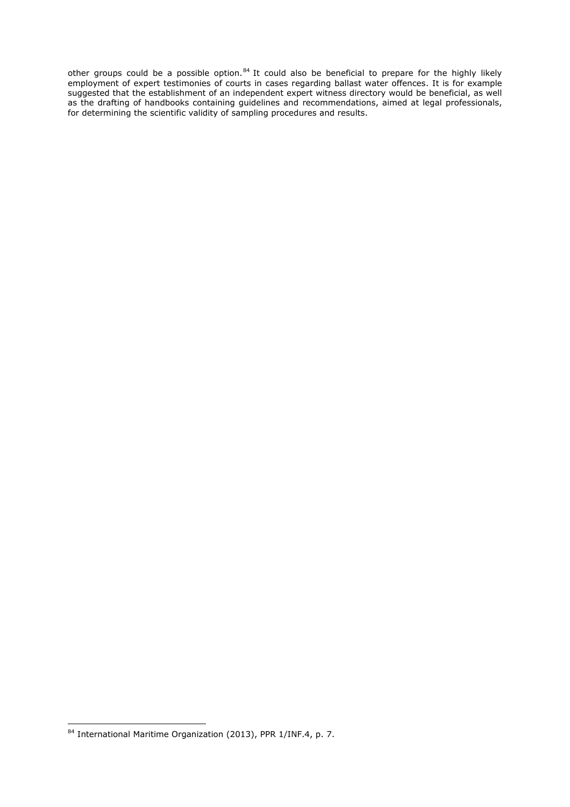other groups could be a possible option.<sup>84</sup> It could also be beneficial to prepare for the highly likely employment of expert testimonies of courts in cases regarding ballast water offences. It is for example suggested that the establishment of an independent expert witness directory would be beneficial, as well as the drafting of handbooks containing guidelines and recommendations, aimed at legal professionals, for determining the scientific validity of sampling procedures and results.

 $\overline{a}$  $84$  International Maritime Organization (2013), PPR 1/INF.4, p. 7.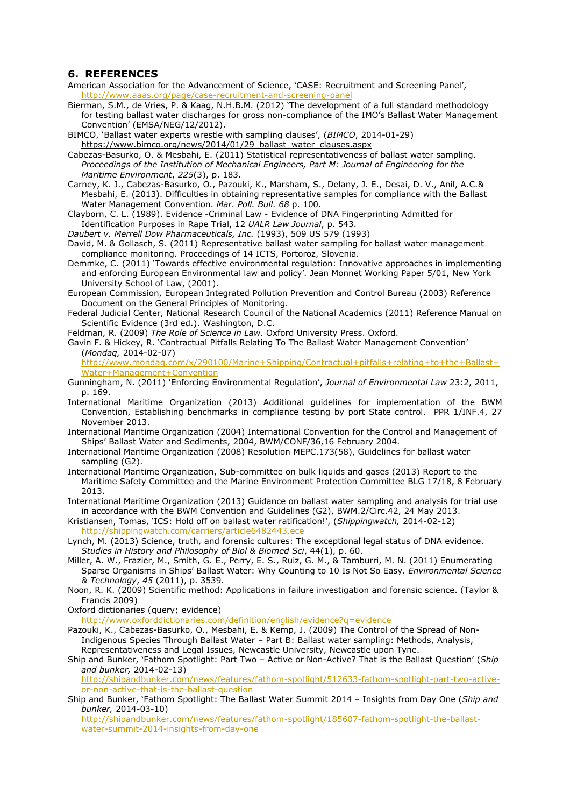#### <span id="page-13-0"></span>**6. REFERENCES**

- American Association for the Advancement of Science, 'CASE: Recruitment and Screening Panel', <http://www.aaas.org/page/case-recruitment-and-screening-panel>
- Bierman, S.M., de Vries, P. & Kaag, N.H.B.M. (2012) 'The development of a full standard methodology for testing ballast water discharges for gross non-compliance of the IMO's Ballast Water Management Convention' (EMSA/NEG/12/2012).
- BIMCO, 'Ballast water experts wrestle with sampling clauses', (*BIMCO*, 2014-01-29) [https://www.bimco.org/news/2014/01/29\\_ballast\\_water\\_clauses.aspx](https://www.bimco.org/news/2014/01/29_ballast_water_clauses.aspx)
- Cabezas-Basurko, O. & Mesbahi, E. (2011) Statistical representativeness of ballast water sampling. *Proceedings of the Institution of Mechanical Engineers, Part M: Journal of Engineering for the Maritime Environment*, *225*(3), p. 183.
- Carney, K. J., Cabezas-Basurko, O., Pazouki, K., Marsham, S., Delany, J. E., Desai, D. V., Anil, A.C.& Mesbahi, E. (2013). Difficulties in obtaining representative samples for compliance with the Ballast Water Management Convention. *Mar. Poll. Bull. 68* p. 100.
- Clayborn, C. L. (1989). Evidence -Criminal Law Evidence of DNA Fingerprinting Admitted for Identification Purposes in Rape Trial, 12 *UALR Law Journal*, p. 543.
- *Daubert v. Merrell Dow Pharmaceuticals, Inc.* (1993), 509 US 579 (1993)
- David, M. & Gollasch, S. (2011) Representative ballast water sampling for ballast water management compliance monitoring. Proceedings of 14 ICTS, Portoroz, Slovenia.
- Demmke, C. (2011) 'Towards effective environmental regulation: Innovative approaches in implementing and enforcing European Environmental law and policy'*.* Jean Monnet Working Paper 5/01, New York University School of Law, (2001).
- European Commission, European Integrated Pollution Prevention and Control Bureau (2003) Reference Document on the General Principles of Monitoring.
- Federal Judicial Center, National Research Council of the National Academics (2011) Reference Manual on Scientific Evidence (3rd ed.). Washington, D.C.
- Feldman, R. (2009) *The Role of Science in Law*. Oxford University Press. Oxford.
- Gavin F. & Hickey, R. 'Contractual Pitfalls Relating To The Ballast Water Management Convention' (*Mondaq,* 2014-02-07)

[http://www.mondaq.com/x/290100/Marine+Shipping/Contractual+pitfalls+relating+to+the+Ballast+](http://www.mondaq.com/x/290100/Marine+Shipping/Contractual+pitfalls+relating+to+the+Ballast+Water+Management+Convention) [Water+Management+Convention](http://www.mondaq.com/x/290100/Marine+Shipping/Contractual+pitfalls+relating+to+the+Ballast+Water+Management+Convention)

Gunningham, N. (2011) 'Enforcing Environmental Regulation', *Journal of Environmental Law* 23:2, 2011, p. 169.

International Maritime Organization (2013) Additional guidelines for implementation of the BWM Convention, Establishing benchmarks in compliance testing by port State control. PPR 1/INF.4, 27 November 2013.

International Maritime Organization (2004) International Convention for the Control and Management of Ships' Ballast Water and Sediments, 2004, BWM/CONF/36,16 February 2004.

- International Maritime Organization (2008) Resolution MEPC.173(58), Guidelines for ballast water sampling (G2).
- International Maritime Organization, Sub-committee on bulk liquids and gases (2013) Report to the Maritime Safety Committee and the Marine Environment Protection Committee BLG 17/18, 8 February 2013.

International Maritime Organization (2013) Guidance on ballast water sampling and analysis for trial use in accordance with the BWM Convention and Guidelines (G2), BWM.2/Circ.42, 24 May 2013.

- Kristiansen, Tomas, 'ICS: Hold off on ballast water ratification!', (*Shippingwatch,* 2014-02-12) <http://shippingwatch.com/carriers/article6482443.ece>
- Lynch, M. (2013) Science, truth, and forensic cultures: The exceptional legal status of DNA evidence. *Studies in History and Philosophy of Biol & Biomed Sci*, 44(1), p. 60.
- Miller, A. W., Frazier, M., Smith, G. E., Perry, E. S., Ruiz, G. M., & Tamburri, M. N. (2011) Enumerating Sparse Organisms in Ships' Ballast Water: Why Counting to 10 Is Not So Easy. *Environmental Science & Technology*, *45* (2011), p. 3539.
- Noon, R. K. (2009) Scientific method: Applications in failure investigation and forensic science. (Taylor & Francis 2009)
- Oxford dictionaries (query; evidence)

<http://www.oxforddictionaries.com/definition/english/evidence?q=evidence>

- Pazouki, K., Cabezas-Basurko, O., Mesbahi, E. & Kemp, J. (2009) The Control of the Spread of Non-Indigenous Species Through Ballast Water – Part B: Ballast water sampling: Methods, Analysis, Representativeness and Legal Issues, Newcastle University, Newcastle upon Tyne.
- Ship and Bunker, 'Fathom Spotlight: Part Two Active or Non-Active? That is the Ballast Question' (*Ship and bunker,* 2014-02-13)

[http://shipandbunker.com/news/features/fathom-spotlight/512633-fathom-spotlight-part-two-active](http://shipandbunker.com/news/features/fathom-spotlight/512633-fathom-spotlight-part-two-active-or-non-active-that-is-the-ballast-question)[or-non-active-that-is-the-ballast-question](http://shipandbunker.com/news/features/fathom-spotlight/512633-fathom-spotlight-part-two-active-or-non-active-that-is-the-ballast-question)

Ship and Bunker, 'Fathom Spotlight: The Ballast Water Summit 2014 – Insights from Day One (*Ship and bunker,* 2014-03-10)

[http://shipandbunker.com/news/features/fathom-spotlight/185607-fathom-spotlight-the-ballast](http://shipandbunker.com/news/features/fathom-spotlight/185607-fathom-spotlight-the-ballast-water-summit-2014-insights-from-day-one)[water-summit-2014-insights-from-day-one](http://shipandbunker.com/news/features/fathom-spotlight/185607-fathom-spotlight-the-ballast-water-summit-2014-insights-from-day-one)